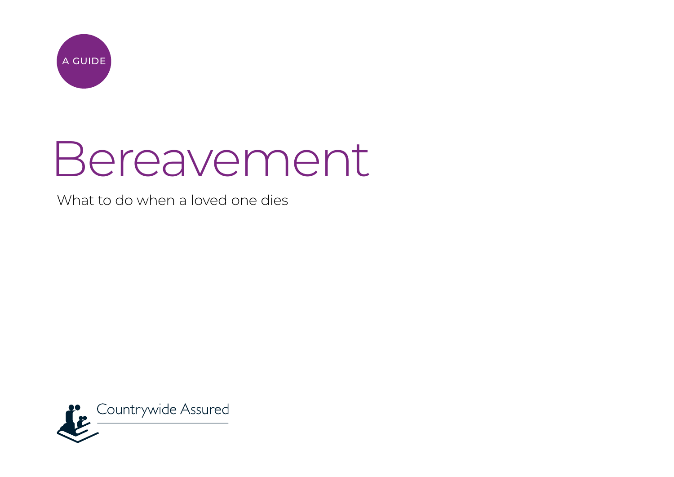

# Bereavement

What to do when a loved one dies

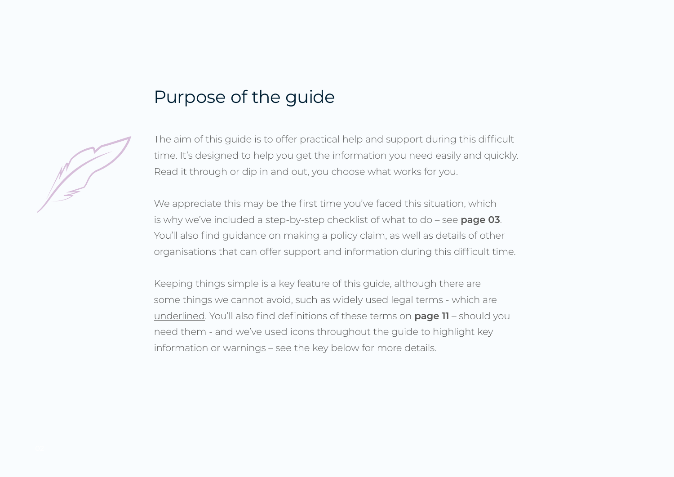### Purpose of the guide

The aim of this guide is to offer practical help and support during this difficult time. It's designed to help you get the information you need easily and quickly. Read it through or dip in and out, you choose what works for you.

We appreciate this may be the first time you've faced this situation, which is why we've included a step-by-step checklist of what to do – see **page 03**. You'll also find guidance on making a policy claim, as well as details of other organisations that can offer support and information during this difficult time.

Keeping things simple is a key feature of this guide, although there are some things we cannot avoid, such as widely used legal terms - which are underlined. You'll also find definitions of these terms on **page 11** – should you need them - and we've used icons throughout the guide to highlight key information or warnings – see the key below for more details.

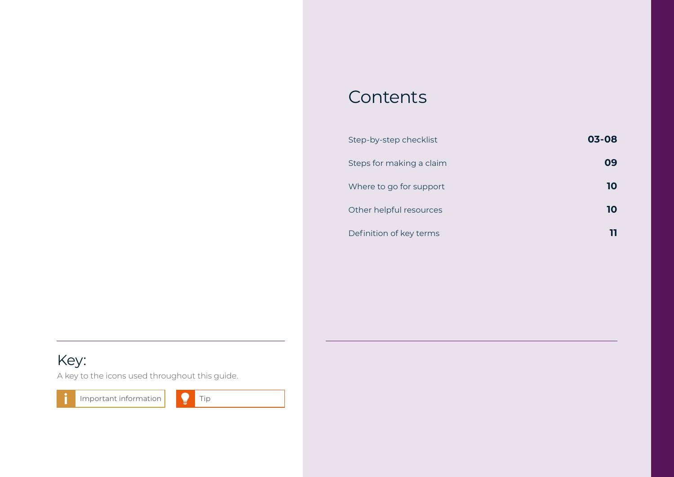### Contents

| Step-by-step checklist   | 03-08 |
|--------------------------|-------|
| Steps for making a claim | Ωd    |
| Where to go for support  | 10    |
| Other helpful resources  | 10    |
| Definition of key terms  |       |

### Key:

A key to the icons used throughout this guide.

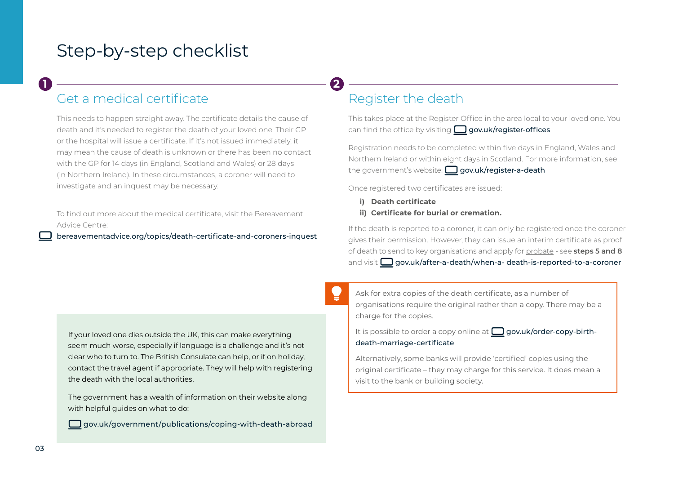### Get a medical certificate **1 2**

This needs to happen straight away. The certificate details the cause of death and it's needed to register the death of your loved one. Their GP or the hospital will issue a certificate. If it's not issued immediately, it may mean the cause of death is unknown or there has been no contact with the GP for 14 days (in England, Scotland and Wales) or 28 days (in Northern Ireland). In these circumstances, a coroner will need to investigate and an inquest may be necessary.

To find out more about the medical certificate, visit the Bereavement Advice Centre:

[bereavementadvice.org/topics/death-certificate-and-coroners-inquest](https://bereavementadvice.org/topics/death-certificate-and-coroners-inquest)

### Register the death

This takes place at the Register Office in the area local to your loved one. You can find the office by visiting  $\Box$  [gov.uk/register-offices](https://gov.uk/register-offices)

Registration needs to be completed within five days in England, Wales and Northern Ireland or within eight days in Scotland. For more information, see the government's website:  $\Box$  [gov.uk/register-a-death](https://gov.uk/register-a-death)

Once registered two certificates are issued:

- **i) Death certificate**
- **ii) Certificate for burial or cremation.**

If the death is reported to a coroner, it can only be registered once the coroner gives their permission. However, they can issue an interim certificate as proof of death to send to key organisations and apply for probate - see **steps 5 and 8**  and visit  $\Box$  [gov.uk/after-a-death/when-a-](https://gov.uk/after-a-death/when-a-) death-is-reported-to-a-coroner

If your loved one dies outside the UK, this can make everything seem much worse, especially if language is a challenge and it's not clear who to turn to. The British Consulate can help, or if on holiday, contact the travel agent if appropriate. They will help with registering the death with the local authorities.

The government has a wealth of information on their website along with helpful guides on what to do:

[gov.uk/government/publications/coping-with-death-abroad](https://gov.uk/government/publications/coping-with-death-abroad)

Ask for extra copies of the death certificate, as a number of organisations require the original rather than a copy. There may be a charge for the copies.

It is possible to order a copy online at  $\Box$  [gov.uk/order-copy-birth](https://gov.uk/order-copy-birth-death-marriage-certificate)[death-marriage-certificate](https://gov.uk/order-copy-birth-death-marriage-certificate)

Alternatively, some banks will provide 'certified' copies using the original certificate – they may charge for this service. It does mean a visit to the bank or building society.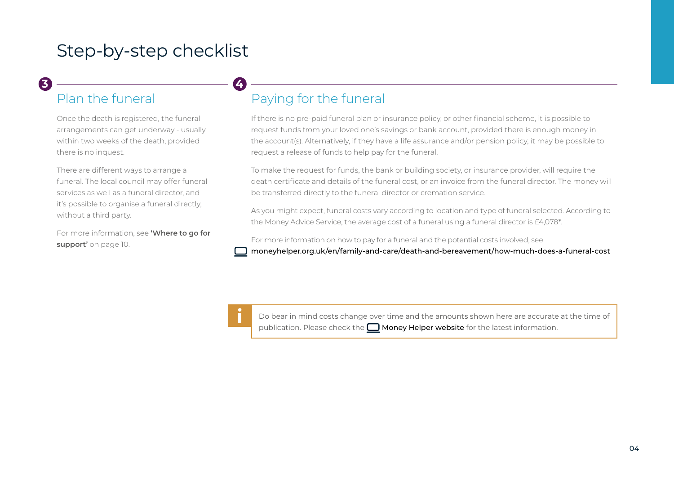### **3 4**

### Plan the funeral

Once the death is registered, the funeral arrangements can get underway - usually within two weeks of the death, provided there is no inquest.

There are different ways to arrange a funeral. The local council may offer funeral services as well as a funeral director, and it's possible to organise a funeral directly, without a third party.

For more information, see **'Where to go for**  support' on page 10.

### Paying for the funeral

If there is no pre-paid funeral plan or insurance policy, or other financial scheme, it is possible to request funds from your loved one's savings or bank account, provided there is enough money in the account(s). Alternatively, if they have a life assurance and/or pension policy, it may be possible to request a release of funds to help pay for the funeral.

To make the request for funds, the bank or building society, or insurance provider, will require the death certificate and details of the funeral cost, or an invoice from the funeral director. The money will be transferred directly to the funeral director or cremation service.

As you might expect, funeral costs vary according to location and type of funeral selected. According to the Money Advice Service, the average cost of a funeral using a funeral director is £4,078\*.

For more information on how to pay for a funeral and the potential costs involved, see

[moneyhelper.org.uk/en/family-and-care/death-and-bereavement/how-much-does-a-funeral-cost](https://www.moneyhelper.org.uk/en/family-and-care/death-and-bereavement/how-much-does-a-funeral-cost)



Do bear in mind costs change over time and the amounts shown here are accurate at the time of publication. Please check the  $\Box$  [Money Helper website](https://www.moneyhelper.org.uk/en/family-and-care/death-and-bereavement/how-much-does-a-funeral-cost) for the latest information.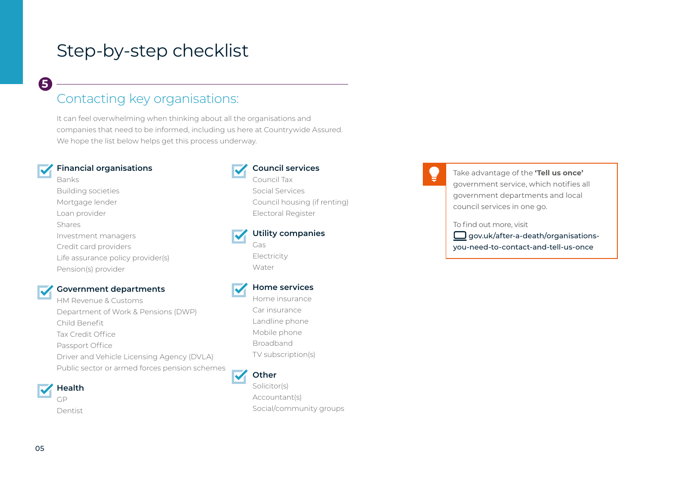### Contacting key organisations:

It can feel overwhelming when thinking about all the organisations and companies that need to be informed, including us here at Countrywide Assured. We hope the list below helps get this process underway.

#### **Financial organisations**

Banks Building societies Mortgage lender Loan provider Shares Investment managers Credit card providers Life assurance policy provider(s) Pension(s) provider

#### **Government departments**

HM Revenue & Customs Department of Work & Pensions (DWP) Child Benefit Tax Credit Office Passport Office Driver and Vehicle Licensing Agency (DVLA) Public sector or armed forces pension schemes

**Health** GP

Dentist



### **Council services**

Social Services Council housing (if renting) Electoral Register

**Utility companies** Gas Electricity

Water

#### **Home services**

Home insurance Car insurance Landline phone Mobile phone Broadband TV subscription(s)

#### **Other**

Solicitor(s) Accountant(s) Social/community groups

Take advantage of the **'Tell us once'**  government service, which notifies all government departments and local council services in one go.

To find out more, visit

 $\Box$  [gov.uk/after-a-death/organisations](https://www.gov.uk/after-a-death/organisations-you-need-to-contact-and-tell-us-once)[you-need-to-contact-and-tell-us-once](https://www.gov.uk/after-a-death/organisations-you-need-to-contact-and-tell-us-once)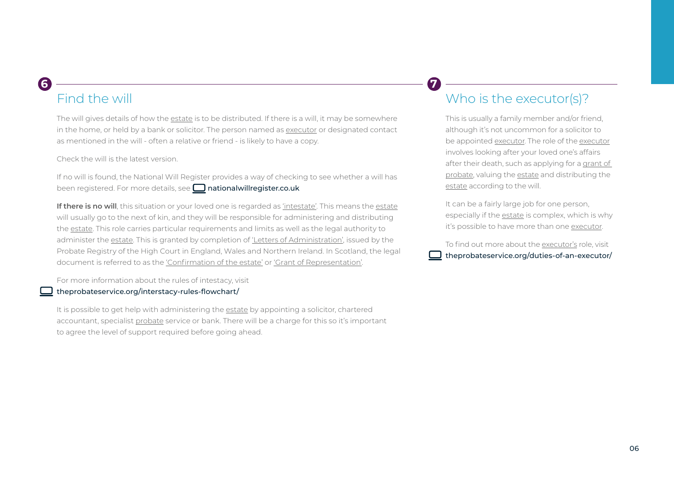### **6 7**

### Find the will

The will gives details of how the estate is to be distributed. If there is a will, it may be somewhere in the home, or held by a bank or solicitor. The person named as executor or designated contact as mentioned in the will - often a relative or friend - is likely to have a copy.

Check the will is the latest version.

If no will is found, the National Will Register provides a way of checking to see whether a will has been registered. For more details, see  $\Box$  [nationalwillregister.co.uk](https://www.nationalwillregister.co.uk/)

**If there is no will**, this situation or your loved one is regarded as 'intestate'. This means the estate will usually go to the next of kin, and they will be responsible for administering and distributing the estate. This role carries particular requirements and limits as well as the legal authority to administer the estate. This is granted by completion of 'Letters of Administration', issued by the Probate Registry of the High Court in England, Wales and Northern Ireland. In Scotland, the legal document is referred to as the 'Confirmation of the estate' or 'Grant of Representation'.

For more information about the rules of intestacy, visit

#### [theprobateservice.org/interstacy-rules-flowchart/](https://theprobateservice.org/interstacy-rules-flowchart/)

It is possible to get help with administering the estate by appointing a solicitor, chartered accountant, specialist probate service or bank. There will be a charge for this so it's important to agree the level of support required before going ahead.

### Who is the executor(s)?

This is usually a family member and/or friend, although it's not uncommon for a solicitor to be appointed executor. The role of the executor involves looking after your loved one's affairs after their death, such as applying for a grant of probate, valuing the estate and distributing the estate according to the will.

It can be a fairly large job for one person, especially if the estate is complex, which is why it's possible to have more than one executor.

To find out more about the executor's role, visit [theprobateservice.org/duties-of-an-executor/](https://theprobateservice.org/duties-of-an-executor/)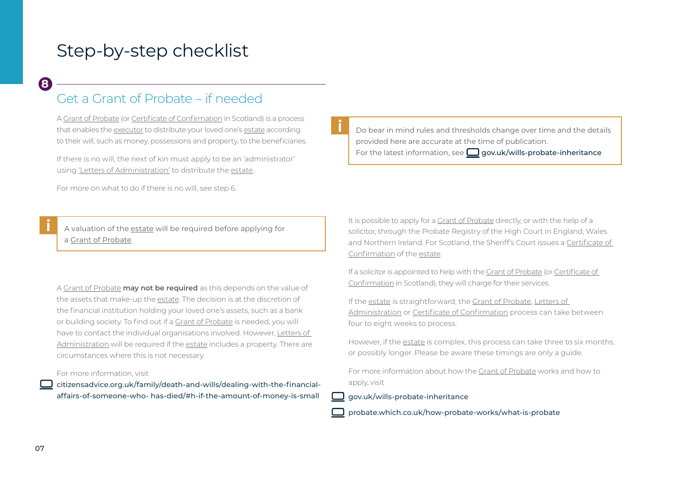### Get a Grant of Probate – if needed

A Grant of Probate (or Certificate of Confirmation in Scotland) is a process that enables the executor to distribute your loved one's estate according to their will, such as money, possessions and property, to the beneficiaries.

If there is no will, the next of kin must apply to be an 'administrator' using 'Letters of Administration' to distribute the estate.

For more on what to do if there is no will, see step 6.

A valuation of the estate will be required before applying for a Grant of Probate

A Grant of Probate **may not be required** as this depends on the value of the assets that make-up the estate. The decision is at the discretion of the financial institution holding your loved one's assets, such as a bank or building society. To find out if a Grant of Probate is needed, you will have to contact the individual organisations involved. However, Letters of Administration will be required if the estate includes a property. There are circumstances where this is not necessary.

For more information, visit

[citizensadvice.org.uk/family/death-and-wills/dealing-with-the-financial](https://www.citizensadvice.org.uk/family/death-and-wills/dealing-with-the-financial-affairs-of-someone-who-has-died/#h-if-the-amount-of-money-is-small)[affairs-of-someone-who- has-died/#h-if-the-amount-of-money-is-small](https://www.citizensadvice.org.uk/family/death-and-wills/dealing-with-the-financial-affairs-of-someone-who-has-died/#h-if-the-amount-of-money-is-small)

Do bear in mind rules and thresholds change over time and the details provided here are accurate at the time of publication. For the latest information, see  $\Box$  [gov.uk/wills-probate-inheritance](https://www.gov.uk/wills-probate-inheritance)

It is possible to apply for a Grant of Probate directly, or with the help of a solicitor, through the Probate Registry of the High Court in England, Wales and Northern Ireland. For Scotland, the Sheriff's Court issues a Certificate of Confirmation of the estate.

If a solicitor is appointed to help with the Grant of Probate (or Certificate of Confirmation in Scotland), they will charge for their services.

If the estate is straightforward, the Grant of Probate, Letters of Administration or Certificate of Confirmation process can take between four to eight weeks to process.

However, if the estate is complex, this process can take three to six months, or possibly longer. Please be aware these timings are only a guide.

For more information about how the Grant of Probate works and how to apply, visit

[gov.uk/wills-probate-inheritance](https://www.gov.uk/wills-probate-inheritance)

[probate.which.co.uk/how-probate-works/what-is-probate](https://probate.which.co.uk/how-probate-works/what-is-probate/)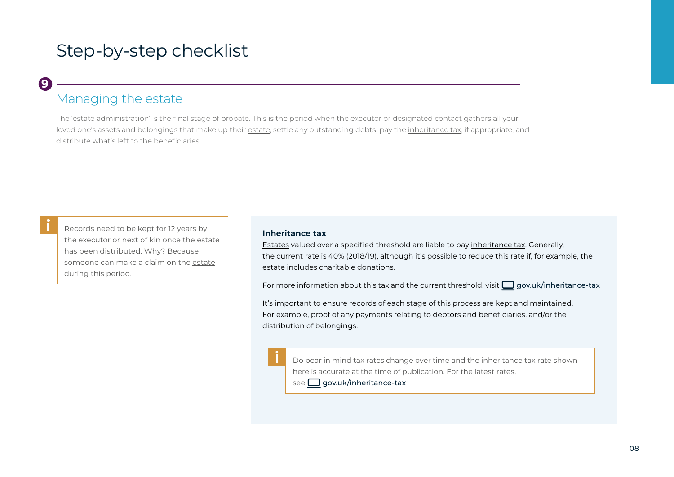### **9**

### Managing the estate

The 'estate administration' is the final stage of probate. This is the period when the executor or designated contact gathers all your loved one's assets and belongings that make up their estate, settle any outstanding debts, pay the inheritance tax, if appropriate, and distribute what's left to the beneficiaries.

Records need to be kept for 12 years by the executor or next of kin once the estate has been distributed. Why? Because someone can make a claim on the estate during this period.

#### **Inheritance tax**

Estates valued over a specified threshold are liable to pay inheritance tax. Generally, the current rate is 40% (2018/19), although it's possible to reduce this rate if, for example, the estate includes charitable donations.

For more information about this tax and the current threshold, visit  $\Box$  [gov.uk/inheritance-tax](https://www.gov.uk/inheritance-tax)

It's important to ensure records of each stage of this process are kept and maintained. For example, proof of any payments relating to debtors and beneficiaries, and/or the distribution of belongings.

Do bear in mind tax rates change over time and the inheritance tax rate shown here is accurate at the time of publication. For the latest rates,

#### $\mathsf{see} \,\blacksquare$  [gov.uk/inheritance-tax](https://www.gov.uk/inheritance-tax)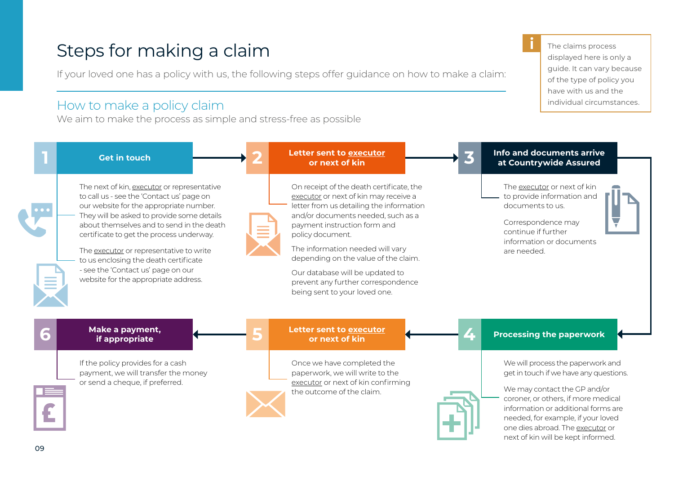### Steps for making a claim

If your loved one has a policy with us, the following steps offer guidance on how to make a claim:

### How to make a policy claim

We aim to make the process as simple and stress-free as possible

The claims process displayed here is only a guide. It can vary because of the type of policy you have with us and the individual circumstances.

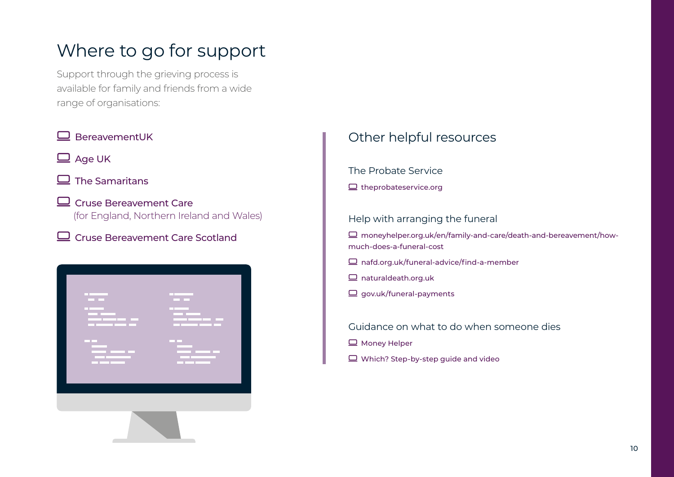# Where to go for support

Support through the grieving process is available for family and friends from a wide range of organisations:



### Other helpful resources

The Probate Service

 $\Box$  [theprobateservice.org](https://www.theprobateservice.org/)

### Help with arranging the funeral

 [moneyhelper.org.uk/en/family-and-care/death-and-bereavement/how](https://www.moneyhelper.org.uk/en/family-and-care/death-and-bereavement/how-much-does-a-funeral-cost)[much-does-a-funeral-cost](https://www.moneyhelper.org.uk/en/family-and-care/death-and-bereavement/how-much-does-a-funeral-cost)

- [nafd.org.uk/funeral-advice/find-a-member](https://nafd.org.uk/funeral-advice/find-a-member)
- $\Box$  [naturaldeath.org.uk](http://naturaldeath.org.uk)
- $\Box$  [gov.uk/funeral-payments](https://gov.uk/funeral-payments)

Guidance on what to do when someone dies

- $\Box$  [Money Helper](https://www.moneyhelper.org.uk/en/family-and-care/death-and-bereavement/what-to-do-when-someone-dies)
- $\Box$  [Which? Step-by-step guide and video](https://www.which.co.uk/later-life-care/end-of-life/what-to-do-when-someone-dies)